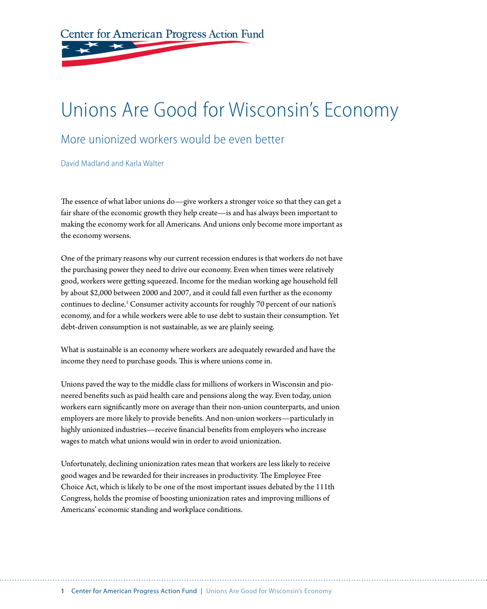Center for American Progress Action Fund

# Unions Are Good for Wisconsin's Economy

#### More unionized workers would be even better

David Madland and Karla Walter

The essence of what labor unions do—give workers a stronger voice so that they can get a fair share of the economic growth they help create—is and has always been important to making the economy work for all Americans. And unions only become more important as the economy worsens.

One of the primary reasons why our current recession endures is that workers do not have the purchasing power they need to drive our economy. Even when times were relatively good, workers were getting squeezed. Income for the median working age household fell by about \$2,000 between 2000 and 2007, and it could fall even further as the economy continues to decline.<sup>1</sup> Consumer activity accounts for roughly 70 percent of our nation's economy, and for a while workers were able to use debt to sustain their consumption. Yet debt-driven consumption is not sustainable, as we are plainly seeing.

What is sustainable is an economy where workers are adequately rewarded and have the income they need to purchase goods. This is where unions come in.

Unions paved the way to the middle class for millions of workers in Wisconsin and pioneered benefits such as paid health care and pensions along the way. Even today, union workers earn significantly more on average than their non-union counterparts, and union employers are more likely to provide benefits. And non-union workers—particularly in highly unionized industries—receive financial benefits from employers who increase wages to match what unions would win in order to avoid unionization.

Unfortunately, declining unionization rates mean that workers are less likely to receive good wages and be rewarded for their increases in productivity. The Employee Free Choice Act, which is likely to be one of the most important issues debated by the 111th Congress, holds the promise of boosting unionization rates and improving millions of Americans' economic standing and workplace conditions.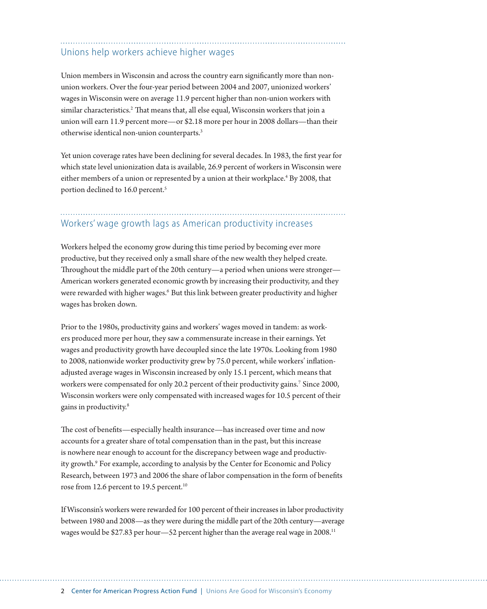#### Unions help workers achieve higher wages

Union members in Wisconsin and across the country earn significantly more than nonunion workers. Over the four-year period between 2004 and 2007, unionized workers' wages in Wisconsin were on average 11.9 percent higher than non-union workers with similar characteristics.<sup>2</sup> That means that, all else equal, Wisconsin workers that join a union will earn 11.9 percent more—or \$2.18 more per hour in 2008 dollars—than their otherwise identical non-union counterparts.3

Yet union coverage rates have been declining for several decades. In 1983, the first year for which state level unionization data is available, 26.9 percent of workers in Wisconsin were either members of a union or represented by a union at their workplace.<sup>4</sup> By 2008, that portion declined to 16.0 percent.<sup>5</sup>

### Workers' wage growth lags as American productivity increases

Workers helped the economy grow during this time period by becoming ever more productive, but they received only a small share of the new wealth they helped create. Throughout the middle part of the 20th century—a period when unions were stronger— American workers generated economic growth by increasing their productivity, and they were rewarded with higher wages.<sup>6</sup> But this link between greater productivity and higher wages has broken down.

Prior to the 1980s, productivity gains and workers' wages moved in tandem: as workers produced more per hour, they saw a commensurate increase in their earnings. Yet wages and productivity growth have decoupled since the late 1970s. Looking from 1980 to 2008, nationwide worker productivity grew by 75.0 percent, while workers' inflationadjusted average wages in Wisconsin increased by only 15.1 percent, which means that workers were compensated for only 20.2 percent of their productivity gains.7 Since 2000, Wisconsin workers were only compensated with increased wages for 10.5 percent of their gains in productivity.8

The cost of benefits—especially health insurance—has increased over time and now accounts for a greater share of total compensation than in the past, but this increase is nowhere near enough to account for the discrepancy between wage and productivity growth.<sup>9</sup> For example, according to analysis by the Center for Economic and Policy Research, between 1973 and 2006 the share of labor compensation in the form of benefits rose from 12.6 percent to 19.5 percent.<sup>10</sup>

If Wisconsin's workers were rewarded for 100 percent of their increases in labor productivity between 1980 and 2008—as they were during the middle part of the 20th century—average wages would be \$27.83 per hour—52 percent higher than the average real wage in 2008.11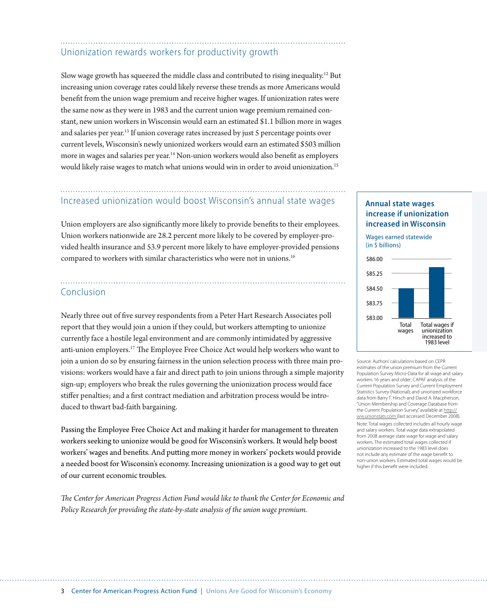### Unionization rewards workers for productivity growth

Slow wage growth has squeezed the middle class and contributed to rising inequality.12 But increasing union coverage rates could likely reverse these trends as more Americans would benefit from the union wage premium and receive higher wages. If unionization rates were the same now as they were in 1983 and the current union wage premium remained constant, new union workers in Wisconsin would earn an estimated \$1.1 billion more in wages and salaries per year.13 If union coverage rates increased by just 5 percentage points over current levels, Wisconsin's newly unionized workers would earn an estimated \$503 million more in wages and salaries per year.14 Non-union workers would also benefit as employers would likely raise wages to match what unions would win in order to avoid unionization.15

## Increased unionization would boost Wisconsin's annual state wages

Union employers are also significantly more likely to provide benefits to their employees. Union workers nationwide are 28.2 percent more likely to be covered by employer-provided health insurance and 53.9 percent more likely to have employer-provided pensions compared to workers with similar characteristics who were not in unions.<sup>16</sup>

#### Conclusion

Nearly three out of five survey respondents from a Peter Hart Research Associates poll report that they would join a union if they could, but workers attempting to unionize currently face a hostile legal environment and are commonly intimidated by aggressive anti-union employers.17 The Employee Free Choice Act would help workers who want to join a union do so by ensuring fairness in the union selection process with three main provisions: workers would have a fair and direct path to join unions through a simple majority sign-up; employers who break the rules governing the unionization process would face stiffer penalties; and a first contract mediation and arbitration process would be introduced to thwart bad-faith bargaining.

Passing the Employee Free Choice Act and making it harder for management to threaten workers seeking to unionize would be good for Wisconsin's workers. It would help boost workers' wages and benefits. And putting more money in workers' pockets would provide a needed boost for Wisconsin's economy. Increasing unionization is a good way to get out of our current economic troubles.

*The Center for American Progress Action Fund would like to thank the Center for Economic and Policy Research for providing the state-by-state analysis of the union wage premium.*

#### **Annual state wages increase if unionization increased in Wisconsin**

Wages earned statewide (in \$ billions)



Source: Authors' calculations based on CEPR estimates of the union premium from the Current Population Survey Micro-Data for all wage and salary workers 16 years and older; CAPAF analysis of the Current Population Survey and Current Employment Statistics Survey (National); and unionized workforce data from Barry T. Hirsch and David A. Macpherson, "Union Membership and Coverage Database from the Current Population Survey," available at http:// ww.unionstats.com (last accessed December 2008). Note: Total wages collected includes all hourly wage and salary workers. Total wage data extrapolated from 2008 average state wage for wage and salary workers. The estimated total wages collected if unionization increased to the 1983 level does not include any estimate of the wage benefit to non-union workers. Estimated total wages would be higher if this benefit were included.